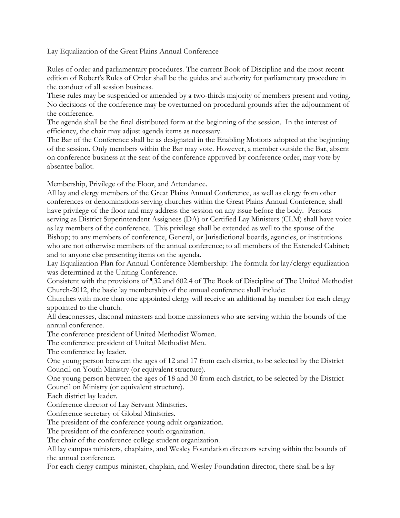Lay Equalization of the Great Plains Annual Conference

Rules of order and parliamentary procedures. The current Book of Discipline and the most recent edition of Robert's Rules of Order shall be the guides and authority for parliamentary procedure in the conduct of all session business.

These rules may be suspended or amended by a two-thirds majority of members present and voting. No decisions of the conference may be overturned on procedural grounds after the adjournment of the conference.

The agenda shall be the final distributed form at the beginning of the session. In the interest of efficiency, the chair may adjust agenda items as necessary.

The Bar of the Conference shall be as designated in the Enabling Motions adopted at the beginning of the session. Only members within the Bar may vote. However, a member outside the Bar, absent on conference business at the seat of the conference approved by conference order, may vote by absentee ballot.

Membership, Privilege of the Floor, and Attendance.

All lay and clergy members of the Great Plains Annual Conference, as well as clergy from other conferences or denominations serving churches within the Great Plains Annual Conference, shall have privilege of the floor and may address the session on any issue before the body. Persons serving as District Superintendent Assignees (DA) or Certified Lay Ministers (CLM) shall have voice as lay members of the conference. This privilege shall be extended as well to the spouse of the Bishop; to any members of conference, General, or Jurisdictional boards, agencies, or institutions who are not otherwise members of the annual conference; to all members of the Extended Cabinet; and to anyone else presenting items on the agenda.

Lay Equalization Plan for Annual Conference Membership: The formula for lay/clergy equalization was determined at the Uniting Conference.

Consistent with the provisions of ¶32 and 602.4 of The Book of Discipline of The United Methodist Church-2012, the basic lay membership of the annual conference shall include:

Churches with more than one appointed clergy will receive an additional lay member for each clergy appointed to the church.

All deaconesses, diaconal ministers and home missioners who are serving within the bounds of the annual conference.

The conference president of United Methodist Women.

The conference president of United Methodist Men.

The conference lay leader.

One young person between the ages of 12 and 17 from each district, to be selected by the District Council on Youth Ministry (or equivalent structure).

One young person between the ages of 18 and 30 from each district, to be selected by the District Council on Ministry (or equivalent structure).

Each district lay leader.

Conference director of Lay Servant Ministries.

Conference secretary of Global Ministries.

The president of the conference young adult organization.

The president of the conference youth organization.

The chair of the conference college student organization.

All lay campus ministers, chaplains, and Wesley Foundation directors serving within the bounds of the annual conference.

For each clergy campus minister, chaplain, and Wesley Foundation director, there shall be a lay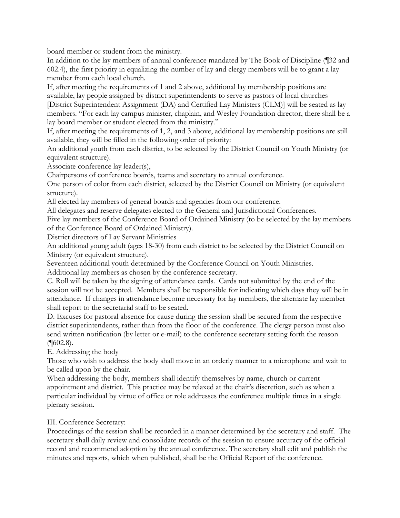board member or student from the ministry.

In addition to the lay members of annual conference mandated by The Book of Discipline (¶32 and 602.4), the first priority in equalizing the number of lay and clergy members will be to grant a lay member from each local church.

If, after meeting the requirements of 1 and 2 above, additional lay membership positions are available, lay people assigned by district superintendents to serve as pastors of local churches [District Superintendent Assignment (DA) and Certified Lay Ministers (CLM)] will be seated as lay members. "For each lay campus minister, chaplain, and Wesley Foundation director, there shall be a lay board member or student elected from the ministry."

If, after meeting the requirements of 1, 2, and 3 above, additional lay membership positions are still available, they will be filled in the following order of priority:

An additional youth from each district, to be selected by the District Council on Youth Ministry (or equivalent structure).

Associate conference lay leader(s),

Chairpersons of conference boards, teams and secretary to annual conference.

One person of color from each district, selected by the District Council on Ministry (or equivalent structure).

All elected lay members of general boards and agencies from our conference.

All delegates and reserve delegates elected to the General and Jurisdictional Conferences.

Five lay members of the Conference Board of Ordained Ministry (to be selected by the lay members of the Conference Board of Ordained Ministry).

District directors of Lay Servant Ministries

An additional young adult (ages 18-30) from each district to be selected by the District Council on Ministry (or equivalent structure).

Seventeen additional youth determined by the Conference Council on Youth Ministries.

Additional lay members as chosen by the conference secretary.

C. Roll will be taken by the signing of attendance cards. Cards not submitted by the end of the session will not be accepted. Members shall be responsible for indicating which days they will be in attendance. If changes in attendance become necessary for lay members, the alternate lay member shall report to the secretarial staff to be seated.

D. Excuses for pastoral absence for cause during the session shall be secured from the respective district superintendents, rather than from the floor of the conference. The clergy person must also send written notification (by letter or e-mail) to the conference secretary setting forth the reason  $(\P 602.8).$ 

E. Addressing the body

Those who wish to address the body shall move in an orderly manner to a microphone and wait to be called upon by the chair.

When addressing the body, members shall identify themselves by name, church or current appointment and district. This practice may be relaxed at the chair's discretion, such as when a particular individual by virtue of office or role addresses the conference multiple times in a single plenary session.

III. Conference Secretary:

Proceedings of the session shall be recorded in a manner determined by the secretary and staff. The secretary shall daily review and consolidate records of the session to ensure accuracy of the official record and recommend adoption by the annual conference. The secretary shall edit and publish the minutes and reports, which when published, shall be the Official Report of the conference.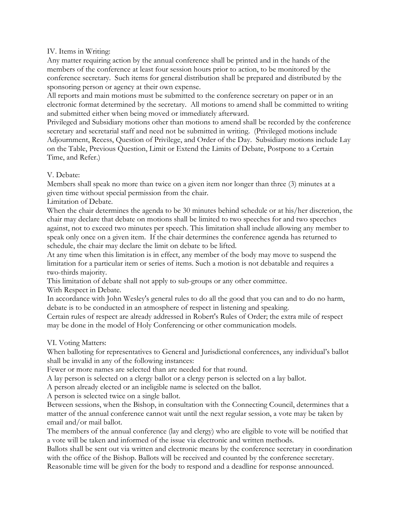## IV. Items in Writing:

Any matter requiring action by the annual conference shall be printed and in the hands of the members of the conference at least four session hours prior to action, to be monitored by the conference secretary. Such items for general distribution shall be prepared and distributed by the sponsoring person or agency at their own expense.

All reports and main motions must be submitted to the conference secretary on paper or in an electronic format determined by the secretary. All motions to amend shall be committed to writing and submitted either when being moved or immediately afterward.

Privileged and Subsidiary motions other than motions to amend shall be recorded by the conference secretary and secretarial staff and need not be submitted in writing. (Privileged motions include Adjournment, Recess, Question of Privilege, and Order of the Day. Subsidiary motions include Lay on the Table, Previous Question, Limit or Extend the Limits of Debate, Postpone to a Certain Time, and Refer.)

## V. Debate:

Members shall speak no more than twice on a given item nor longer than three (3) minutes at a given time without special permission from the chair.

Limitation of Debate.

When the chair determines the agenda to be 30 minutes behind schedule or at his/her discretion, the chair may declare that debate on motions shall be limited to two speeches for and two speeches against, not to exceed two minutes per speech. This limitation shall include allowing any member to speak only once on a given item. If the chair determines the conference agenda has returned to schedule, the chair may declare the limit on debate to be lifted.

At any time when this limitation is in effect, any member of the body may move to suspend the limitation for a particular item or series of items. Such a motion is not debatable and requires a two-thirds majority.

This limitation of debate shall not apply to sub-groups or any other committee.

With Respect in Debate.

In accordance with John Wesley's general rules to do all the good that you can and to do no harm, debate is to be conducted in an atmosphere of respect in listening and speaking.

Certain rules of respect are already addressed in Robert's Rules of Order; the extra mile of respect may be done in the model of Holy Conferencing or other communication models.

## VI. Voting Matters:

When balloting for representatives to General and Jurisdictional conferences, any individual's ballot shall be invalid in any of the following instances:

Fewer or more names are selected than are needed for that round.

A lay person is selected on a clergy ballot or a clergy person is selected on a lay ballot.

A person already elected or an ineligible name is selected on the ballot.

A person is selected twice on a single ballot.

Between sessions, when the Bishop, in consultation with the Connecting Council, determines that a matter of the annual conference cannot wait until the next regular session, a vote may be taken by email and/or mail ballot.

The members of the annual conference (lay and clergy) who are eligible to vote will be notified that a vote will be taken and informed of the issue via electronic and written methods.

Ballots shall be sent out via written and electronic means by the conference secretary in coordination with the office of the Bishop. Ballots will be received and counted by the conference secretary. Reasonable time will be given for the body to respond and a deadline for response announced.